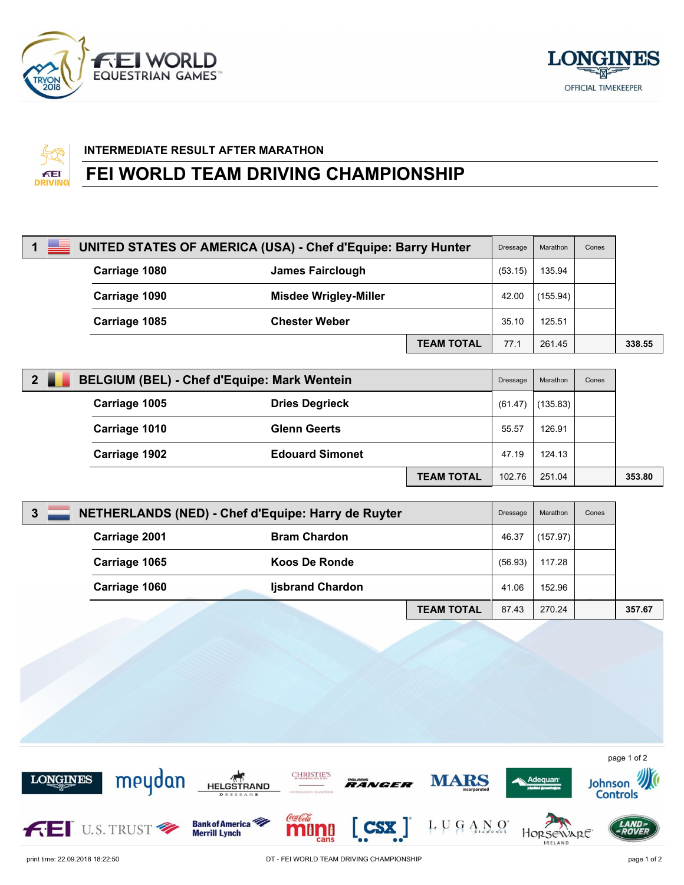





## **INTERMEDIATE RESULT AFTER MARATHON**

## **FEI WORLD TEAM DRIVING CHAMPIONSHIP**

| 1 $\equiv$ | UNITED STATES OF AMERICA (USA) - Chef d'Equipe: Barry Hunter |                              | Dressage          | Marathon | Cones    |  |        |
|------------|--------------------------------------------------------------|------------------------------|-------------------|----------|----------|--|--------|
|            | Carriage 1080                                                | <b>James Fairclough</b>      |                   | (53.15)  | 135.94   |  |        |
|            | Carriage 1090                                                | <b>Misdee Wrigley-Miller</b> |                   | 42.00    | (155.94) |  |        |
|            | Carriage 1085                                                | <b>Chester Weber</b>         |                   | 35.10    | 125.51   |  |        |
|            |                                                              |                              | <b>TEAM TOTAL</b> | 77.1     | 261.45   |  | 338.55 |

| 2 <sup>1</sup><br><b>BELGIUM (BEL) - Chef d'Equipe: Mark Wentein</b> |                        |                   | Dressage | Marathon | Cones |        |
|----------------------------------------------------------------------|------------------------|-------------------|----------|----------|-------|--------|
| Carriage 1005                                                        | <b>Dries Degrieck</b>  |                   | (61.47)  | (135.83) |       |        |
| Carriage 1010                                                        | <b>Glenn Geerts</b>    |                   | 55.57    | 126.91   |       |        |
| Carriage 1902                                                        | <b>Edouard Simonet</b> |                   | 47.19    | 124.13   |       |        |
|                                                                      |                        | <b>TEAM TOTAL</b> | 102.76   | 251.04   |       | 353.80 |

| $\mathbf{3}$ |               | NETHERLANDS (NED) - Chef d'Equipe: Harry de Ruyter |                         |                   | Dressage | Marathon | Cones |        |
|--------------|---------------|----------------------------------------------------|-------------------------|-------------------|----------|----------|-------|--------|
|              | Carriage 2001 |                                                    | <b>Bram Chardon</b>     |                   | 46.37    | (157.97) |       |        |
|              |               | Carriage 1065                                      | Koos De Ronde           |                   | (56.93)  | 117.28   |       |        |
|              |               | Carriage 1060                                      | <b>Ijsbrand Chardon</b> |                   | 41.06    | 152.96   |       |        |
|              |               |                                                    |                         | <b>TEAM TOTAL</b> | 87.43    | 270.24   |       | 357.67 |